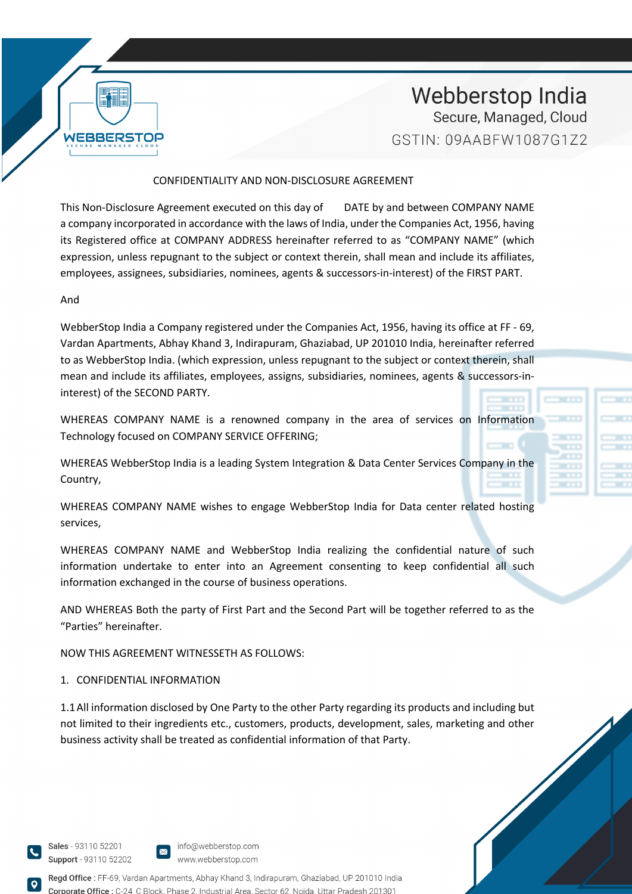

### CONFIDENTIALITY AND NON-DISCLOSURE AGREEMENT

This Non-Disclosure Agreement executed on this day of DATE by and between COMPANY NAME a company incorporated in accordance with the laws of India, under the Companies Act, 1956, having its Registered office at COMPANY ADDRESS hereinafter referred to as "COMPANY NAME" (which expression, unless repugnant to the subject or context therein, shall mean and include its affiliates, employees, assignees, subsidiaries, nominees, agents & successors-in-interest) of the FIRST PART.

#### And

WebberStop India a Company registered under the Companies Act, 1956, having its office at FF - 69, Vardan Apartments, Abhay Khand 3, Indirapuram, Ghaziabad, UP 201010 India, hereinafter referred to as WebberStop India. (which expression, unless repugnant to the subject or context therein, shall mean and include its affiliates, employees, assigns, subsidiaries, nominees, agents & successors-ininterest) of the SECOND PARTY.

WHEREAS COMPANY NAME is a renowned company in the area of services on Information Technology focused on COMPANY SERVICE OFFERING;

WHEREAS WebberStop India is a leading System Integration & Data Center Services Company in the Country,

WHEREAS COMPANY NAME wishes to engage WebberStop India for Data center related hosting services,

WHEREAS COMPANY NAME and WebberStop India realizing the confidential nature of such information undertake to enter into an Agreement consenting to keep confidential all such information exchanged in the course of business operations.

AND WHEREAS Both the party of First Part and the Second Part will be together referred to as the "Parties" hereinafter.

NOW THIS AGREEMENT WITNESSETH AS FOLLOWS:

### 1. CONFIDENTIAL INFORMATION

1.1All information disclosed by One Party to the other Party regarding its products and including but not limited to their ingredients etc., customers, products, development, sales, marketing and other business activity shall be treated as confidential information of that Party.



Regd Office: FF-69, Vardan Apartments, Abhay Khand 3, Indirapuram, Ghaziabad, UP 201010 India **prate Office : C-24 C Block** Phase 2, Industrial Area, Sector 62, Noida, Uttar Pradesh 20130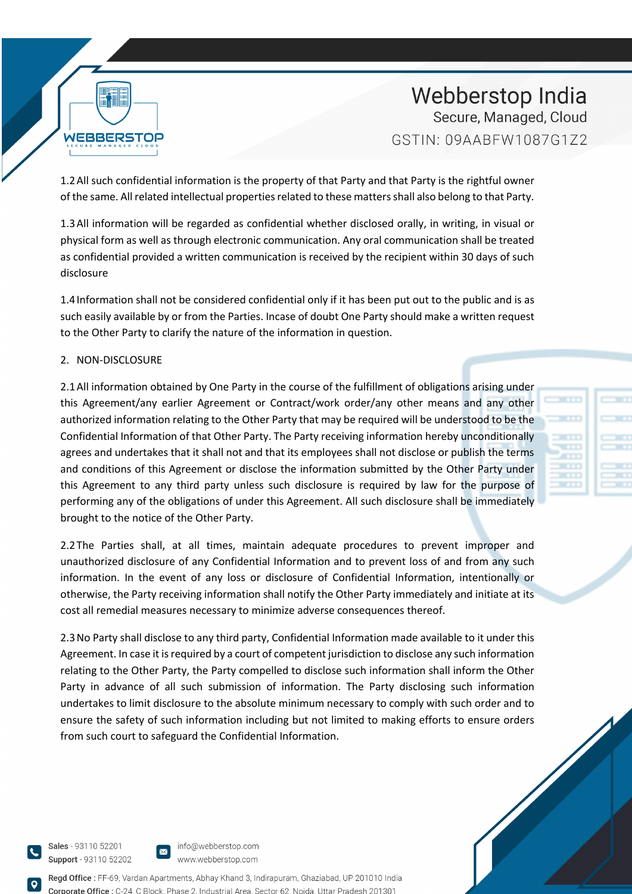

1.2All such confidential information is the property of that Party and that Party is the rightful owner of the same. All related intellectual properties related to these matters shall also belong to that Party.

1.3All information will be regarded as confidential whether disclosed orally, in writing, in visual or physical form as well as through electronic communication. Any oral communication shall be treated as confidential provided a written communication is received by the recipient within 30 days of such disclosure

1.4Information shall not be considered confidential only if it has been put out to the public and is as such easily available by or from the Parties. Incase of doubt One Party should make a written request to the Other Party to clarify the nature of the information in question.

### 2. NON-DISCLOSURE

**WEBBERSTOP** 

2.1All information obtained by One Party in the course of the fulfillment of obligations arising under this Agreement/any earlier Agreement or Contract/work order/any other means and any other authorized information relating to the Other Party that may be required will be understood to be the Confidential Information of that Other Party. The Party receiving information hereby unconditionally agrees and undertakes that it shall not and that its employees shall not disclose or publish the terms and conditions of this Agreement or disclose the information submitted by the Other Party under this Agreement to any third party unless such disclosure is required by law for the purpose of performing any of the obligations of under this Agreement. All such disclosure shall be immediately brought to the notice of the Other Party.

2.2The Parties shall, at all times, maintain adequate procedures to prevent improper and unauthorized disclosure of any Confidential Information and to prevent loss of and from any such information. In the event of any loss or disclosure of Confidential Information, intentionally or otherwise, the Party receiving information shall notify the Other Party immediately and initiate at its cost all remedial measures necessary to minimize adverse consequences thereof.

2.3No Party shall disclose to any third party, Confidential Information made available to it under this Agreement. In case it is required by a court of competent jurisdiction to disclose any such information relating to the Other Party, the Party compelled to disclose such information shall inform the Other Party in advance of all such submission of information. The Party disclosing such information undertakes to limit disclosure to the absolute minimum necessary to comply with such order and to ensure the safety of such information including but not limited to making efforts to ensure orders from such court to safeguard the Confidential Information.

Sales - 93110 52201 Support - 93110 52202 info@webberstop.com www.webberstop.com

Regd Office: FF-69, Vardan Apartments, Abhay Khand 3, Indirapuram, Ghaziabad, UP 201010 India Phase 2, Industrial Area, Sector 62, Noida, Uttar Pradesh 201301

|    | --    |  | _ |  |
|----|-------|--|---|--|
|    | .     |  | _ |  |
|    | .     |  |   |  |
|    |       |  |   |  |
| m. | 5 T I |  |   |  |
| т  | .     |  |   |  |
|    |       |  |   |  |

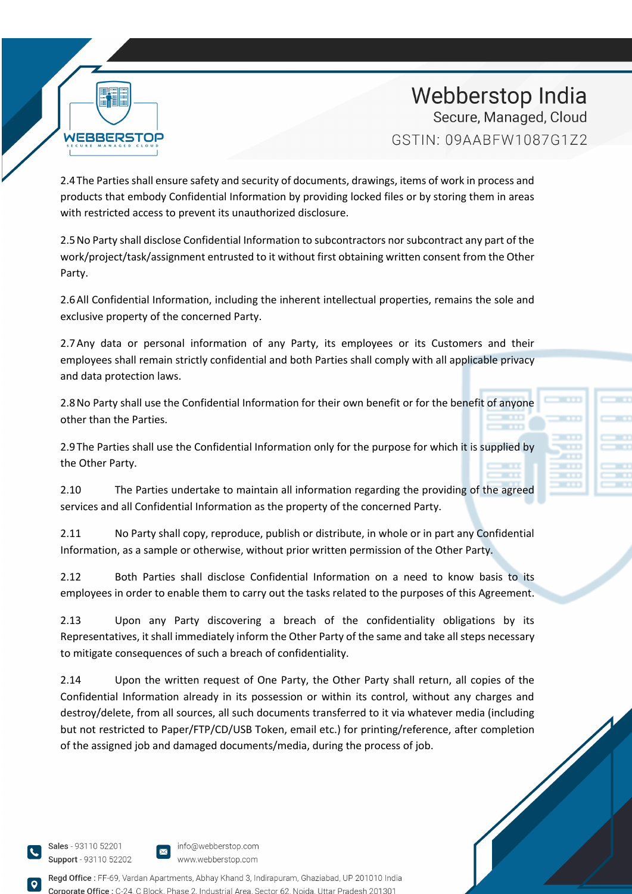

2.4The Parties shall ensure safety and security of documents, drawings, items of work in process and products that embody Confidential Information by providing locked files or by storing them in areas with restricted access to prevent its unauthorized disclosure.

2.5No Party shall disclose Confidential Information to subcontractors nor subcontract any part of the work/project/task/assignment entrusted to it without first obtaining written consent from the Other Party.

2.6All Confidential Information, including the inherent intellectual properties, remains the sole and exclusive property of the concerned Party.

2.7Any data or personal information of any Party, its employees or its Customers and their employees shall remain strictly confidential and both Parties shall comply with all applicable privacy and data protection laws.

2.8No Party shall use the Confidential Information for their own benefit or for the benefit of anyone other than the Parties.

2.9The Parties shall use the Confidential Information only for the purpose for which it is supplied by the Other Party.

2.10 The Parties undertake to maintain all information regarding the providing of the agreed services and all Confidential Information as the property of the concerned Party.

2.11 No Party shall copy, reproduce, publish or distribute, in whole or in part any Confidential Information, as a sample or otherwise, without prior written permission of the Other Party.

2.12 Both Parties shall disclose Confidential Information on a need to know basis to its employees in order to enable them to carry out the tasks related to the purposes of this Agreement.

2.13 Upon any Party discovering a breach of the confidentiality obligations by its Representatives, it shall immediately inform the Other Party of the same and take all steps necessary to mitigate consequences of such a breach of confidentiality.

2.14 Upon the written request of One Party, the Other Party shall return, all copies of the Confidential Information already in its possession or within its control, without any charges and destroy/delete, from all sources, all such documents transferred to it via whatever media (including but not restricted to Paper/FTP/CD/USB Token, email etc.) for printing/reference, after completion of the assigned job and damaged documents/media, during the process of job.

Sales - 93110 52201 Support - 93110 52202



info@webberstop.com www.webberstop.com

Regd Office: FF-69, Vardan Apartments, Abhay Khand 3, Indirapuram, Ghaziabad, UP 201010 India  $\theta$  office  $\cdot$  C-24 C Block Phase 2, Industrial Area, Sector 62, Noida, Uttar Pradesh 20130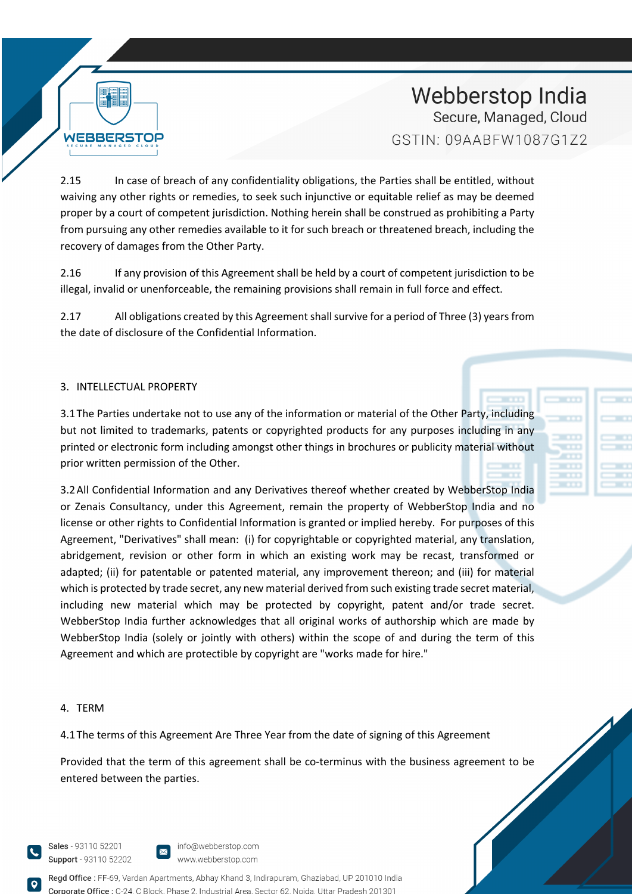

2.15 In case of breach of any confidentiality obligations, the Parties shall be entitled, without waiving any other rights or remedies, to seek such injunctive or equitable relief as may be deemed proper by a court of competent jurisdiction. Nothing herein shall be construed as prohibiting a Party from pursuing any other remedies available to it for such breach or threatened breach, including the recovery of damages from the Other Party.

2.16 If any provision of this Agreement shall be held by a court of competent jurisdiction to be illegal, invalid or unenforceable, the remaining provisions shall remain in full force and effect.

2.17 All obligations created by this Agreement shall survive for a period of Three (3) years from the date of disclosure of the Confidential Information.

## 3. INTELLECTUAL PROPERTY

3.1The Parties undertake not to use any of the information or material of the Other Party, including but not limited to trademarks, patents or copyrighted products for any purposes including in any printed or electronic form including amongst other things in brochures or publicity material without prior written permission of the Other.

3.2All Confidential Information and any Derivatives thereof whether created by WebberStop India or Zenais Consultancy, under this Agreement, remain the property of WebberStop India and no license or other rights to Confidential Information is granted or implied hereby. For purposes of this Agreement, "Derivatives" shall mean: (i) for copyrightable or copyrighted material, any translation, abridgement, revision or other form in which an existing work may be recast, transformed or adapted; (ii) for patentable or patented material, any improvement thereon; and (iii) for material which is protected by trade secret, any new material derived from such existing trade secret material, including new material which may be protected by copyright, patent and/or trade secret. WebberStop India further acknowledges that all original works of authorship which are made by WebberStop India (solely or jointly with others) within the scope of and during the term of this Agreement and which are protectible by copyright are "works made for hire."

### 4. TERM

4.1The terms of this Agreement Are Three Year from the date of signing of this Agreement

Provided that the term of this agreement shall be co-terminus with the business agreement to be entered between the parties.

Sales - 93110 52201 Support - 93110 52202



info@webberstop.com www.webberstop.com

Regd Office: FF-69, Vardan Apartments, Abhay Khand 3, Indirapuram, Ghaziabad, UP 201010 India Phase 2, Industrial Area, Sector 62, Noida, Uttar Pradesh 201301